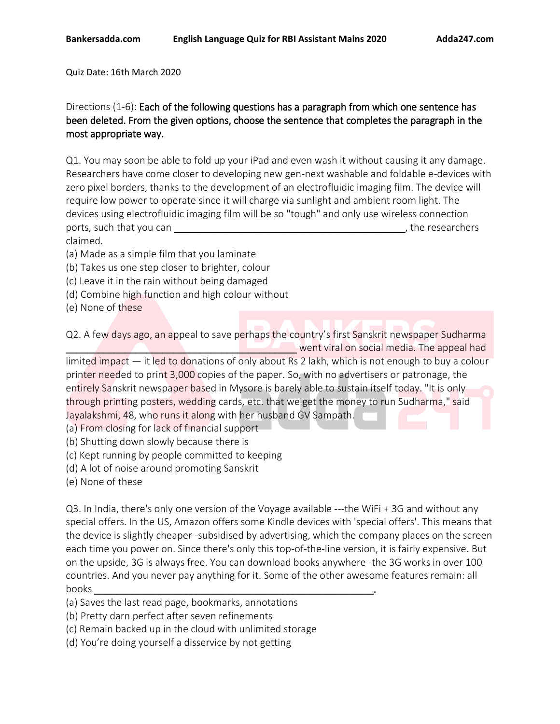Quiz Date: 16th March 2020

# Directions (1-6): Each of the following questions has a paragraph from which one sentence has been deleted. From the given options, choose the sentence that completes the paragraph in the most appropriate way.

Q1. You may soon be able to fold up your iPad and even wash it without causing it any damage. Researchers have come closer to developing new gen-next washable and foldable e-devices with zero pixel borders, thanks to the development of an electrofluidic imaging film. The device will require low power to operate since it will charge via sunlight and ambient room light. The devices using electrofluidic imaging film will be so "tough" and only use wireless connection ports, such that you can **b**  $\overline{a}$  boots, such that you can claimed.

(a) Made as a simple film that you laminate

- (b) Takes us one step closer to brighter, colour
- (c) Leave it in the rain without being damaged
- (d) Combine high function and high colour without
- (e) None of these

Q2. A few days ago, an appeal to save perhaps the country's first Sanskrit newspaper Sudharma **Example 20 Went viral on social media. The appeal had** 

limited impact — it led to donations of only about Rs 2 lakh, which is not enough to buy a colour printer needed to print 3,000 copies of the paper. So, with no advertisers or patronage, the entirely Sanskrit newspaper based in Mysore is barely able to sustain itself today. "It is only through printing posters, wedding cards, etc. that we get the money to run Sudharma," said Jayalakshmi, 48, who runs it along with her husband GV Sampath.

(a) From closing for lack of financial support

(b) Shutting down slowly because there is

(c) Kept running by people committed to keeping

(d) A lot of noise around promoting Sanskrit

(e) None of these

Q3. In India, there's only one version of the Voyage available ---the WiFi + 3G and without any special offers. In the US, Amazon offers some Kindle devices with 'special offers'. This means that the device is slightly cheaper -subsidised by advertising, which the company places on the screen each time you power on. Since there's only this top-of-the-line version, it is fairly expensive. But on the upside, 3G is always free. You can download books anywhere -the 3G works in over 100 countries. And you never pay anything for it. Some of the other awesome features remain: all books \_\_\_\_\_\_\_\_\_\_\_\_\_\_\_\_\_\_\_\_\_\_\_\_\_\_\_\_\_\_\_\_\_\_\_\_\_\_\_\_\_\_\_\_\_\_\_\_\_\_\_\_.

- (a) Saves the last read page, bookmarks, annotations
- (b) Pretty darn perfect after seven refinements
- (c) Remain backed up in the cloud with unlimited storage
- (d) You're doing yourself a disservice by not getting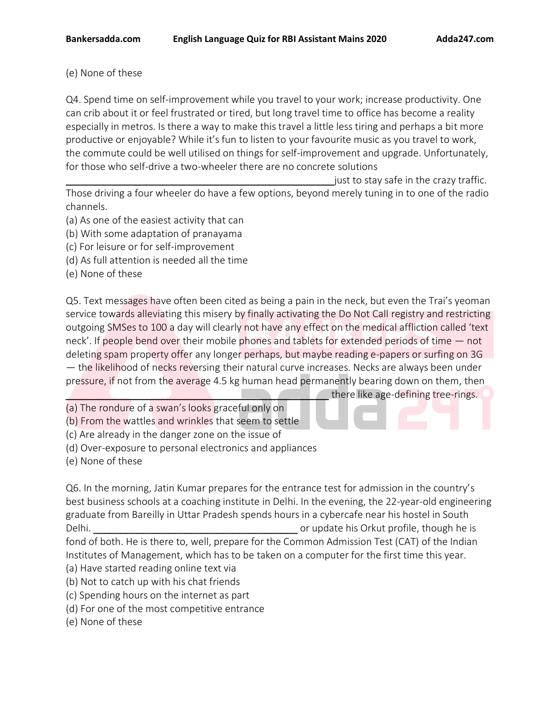# (e) None of these

Q4. Spend time on self-improvement while you travel to your work; increase productivity. One can crib about it or feel frustrated or tired, but long travel time to office has become a reality especially in metros. Is there a way to make this travel a little less tiring and perhaps a bit more productive or enjoyable? While it's fun to listen to your favourite music as you travel to work, the commute could be well utilised on things for self-improvement and upgrade. Unfortunately, for those who self-drive a two-wheeler there are no concrete solutions

 $\_$ just to stay safe in the crazy traffic.  $\,$ 

Those driving a four wheeler do have a few options, beyond merely tuning in to one of the radio channels.

- (a) As one of the easiest activity that can
- (b) With some adaptation of pranayama
- (c) For leisure or for self-improvement
- (d) As full attention is needed all the time
- (e) None of these

Q5. Text messages have often been cited as being a pain in the neck, but even the Trai's yeoman service towards alleviating this misery by finally activating the Do Not Call registry and restricting outgoing SMSes to 100 a day will clearly not have any effect on the medical affliction called 'text neck'. If people bend over their mobile phones and tablets for extended periods of time — not deleting spam property offer any longer perhaps, but maybe reading e-papers or surfing on 3G — the likelihood of necks reversing their natural curve increases. Necks are always been under pressure, if not from the average 4.5 kg human head permanently bearing down on them, then

there like age-defining tree-rings.

(a) The rondure of a swan's looks graceful only on

(b) From the wattles and wrinkles that seem to settle

(c) Are already in the danger zone on the issue of

(d) Over-exposure to personal electronics and appliances

(e) None of these

Q6. In the morning, Jatin Kumar prepares for the entrance test for admission in the country's best business schools at a coaching institute in Delhi. In the evening, the 22-year-old engineering graduate from Bareilly in Uttar Pradesh spends hours in a cybercafe near his hostel in South Delhi. \_\_\_\_\_\_\_\_\_\_\_\_\_\_\_\_\_\_\_\_\_\_\_\_\_\_\_\_\_\_\_\_\_\_\_\_\_\_ or update his Orkut profile, though he is

fond of both. He is there to, well, prepare for the Common Admission Test (CAT) of the Indian Institutes of Management, which has to be taken on a computer for the first time this year.

(a) Have started reading online text via

- (b) Not to catch up with his chat friends
- (c) Spending hours on the internet as part
- (d) For one of the most competitive entrance
- (e) None of these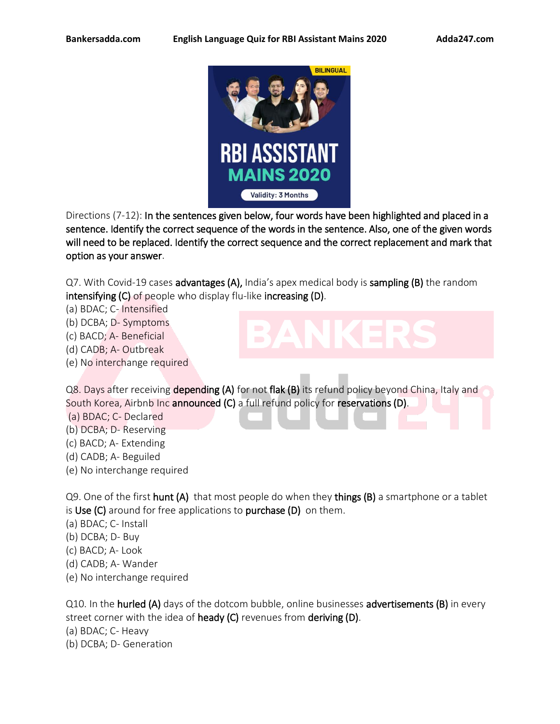

Directions (7-12): In the sentences given below, four words have been highlighted and placed in a sentence. Identify the correct sequence of the words in the sentence. Also, one of the given words will need to be replaced. Identify the correct sequence and the correct replacement and mark that option as your answer.

Q7. With Covid-19 cases advantages (A), India's apex medical body is sampling (B) the random intensifying (C) of people who display flu-like increasing (D).

(a) BDAC; C- Intensified

(b) DCBA; D- Symptoms

(c) BACD; A- Beneficial

- (d) CADB; A- Outbreak
- (e) No interchange required

# Q8. Days after receiving depending (A) for not flak (B) its refund policy beyond China, Italy and South Korea, Airbnb Inc announced (C) a full refund policy for reservations (D).

(a) BDAC; C- Declared

- (b) DCBA; D- Reserving
- (c) BACD; A- Extending
- (d) CADB; A- Beguiled
- (e) No interchange required

Q9. One of the first hunt (A) that most people do when they things (B) a smartphone or a tablet is Use  $(C)$  around for free applications to purchase  $(D)$  on them.

- (a) BDAC; C- Install
- (b) DCBA; D- Buy
- (c) BACD; A- Look
- (d) CADB; A- Wander
- (e) No interchange required

Q10. In the **hurled (A)** days of the dotcom bubble, online businesses **advertisements (B)** in every street corner with the idea of heady (C) revenues from deriving (D). (a) BDAC; C- Heavy (b) DCBA; D- Generation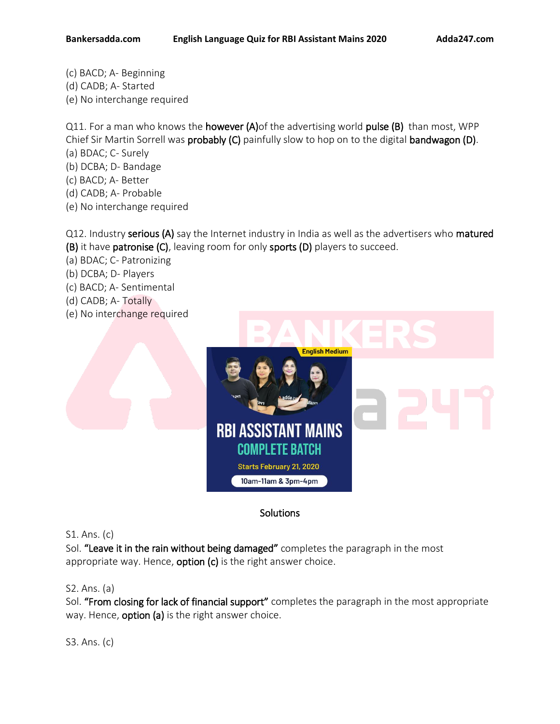(c) BACD; A- Beginning (d) CADB; A- Started (e) No interchange required

Q11. For a man who knows the **however (A)** of the advertising world pulse (B) than most, WPP Chief Sir Martin Sorrell was probably (C) painfully slow to hop on to the digital bandwagon (D).

- (a) BDAC; C- Surely
- (b) DCBA; D- Bandage
- (c) BACD; A- Better
- (d) CADB; A- Probable
- (e) No interchange required

Q12. Industry serious (A) say the Internet industry in India as well as the advertisers who matured (B) it have patronise (C), leaving room for only sports (D) players to succeed.

- (a) BDAC; C- Patronizing
- (b) DCBA; D- Players
- (c) BACD; A- Sentimental
- (d) CADB; A- Totally
- (e) No interchange required



# **Solutions**

# S1. Ans. (c)

Sol. "Leave it in the rain without being damaged" completes the paragraph in the most appropriate way. Hence,  $option (c)$  is the right answer choice.

# S2. Ans. (a)

Sol. "From closing for lack of financial support" completes the paragraph in the most appropriate way. Hence, **option (a)** is the right answer choice.

S3. Ans. (c)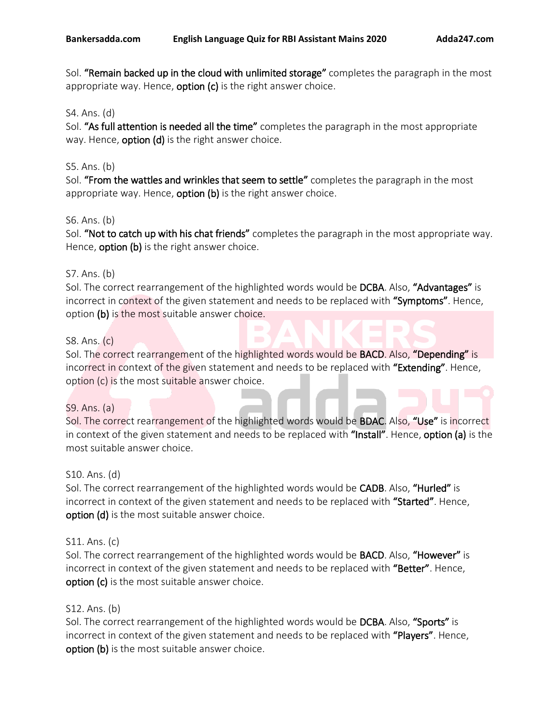Sol. "Remain backed up in the cloud with unlimited storage" completes the paragraph in the most appropriate way. Hence, **option**  $(c)$  is the right answer choice.

### S4. Ans. (d)

Sol. "As full attention is needed all the time" completes the paragraph in the most appropriate way. Hence, **option (d)** is the right answer choice.

### S5. Ans. (b)

Sol. "From the wattles and wrinkles that seem to settle" completes the paragraph in the most appropriate way. Hence, **option (b)** is the right answer choice.

### S6. Ans. (b)

Sol. "Not to catch up with his chat friends" completes the paragraph in the most appropriate way. Hence, **option (b)** is the right answer choice.

### S7. Ans. (b)

Sol. The correct rearrangement of the highlighted words would be DCBA. Also, "Advantages" is incorrect in context of the given statement and needs to be replaced with "Symptoms". Hence, option (b) is the most suitable answer choice.

### S8. Ans. (c)

Sol. The correct rearrangement of the highlighted words would be **BACD**. Also, "Depending" is incorrect in context of the given statement and needs to be replaced with "Extending". Hence, option (c) is the most suitable answer choice.

# S9. Ans. (a)

Sol. The correct rearrangement of the highlighted words would be **BDAC**. Also, "Use" is incorrect in context of the given statement and needs to be replaced with "Install". Hence, option (a) is the most suitable answer choice.

### S10. Ans. (d)

Sol. The correct rearrangement of the highlighted words would be CADB. Also, "Hurled" is incorrect in context of the given statement and needs to be replaced with "Started". Hence, option (d) is the most suitable answer choice.

# S11. Ans. (c)

Sol. The correct rearrangement of the highlighted words would be **BACD**. Also, "**However**" is incorrect in context of the given statement and needs to be replaced with "Better". Hence, option (c) is the most suitable answer choice.

### S12. Ans. (b)

Sol. The correct rearrangement of the highlighted words would be **DCBA**. Also, "Sports" is incorrect in context of the given statement and needs to be replaced with "Players". Hence, option (b) is the most suitable answer choice.